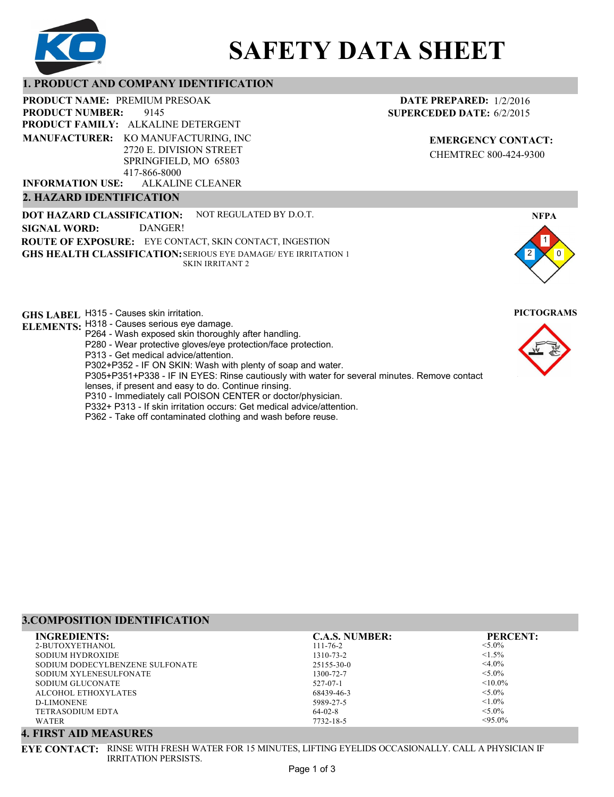

# **SAFETY DATA SHEET**

## **1. PRODUCT AND COMPANY IDENTIFICATION**

9145 PRODUCT NAME: PREMIUM PRESOAK **PRODUCT FAMILY: ALKALINE DETERGENT** ALKALINE CLEANER **PRODUCT NUMBER: MANUFACTURER:** KO MANUFACTURING, INC 2720 E. DIVISION STREET SPRINGFIELD, MO 65803 417-866-8000 **INFORMATION USE:**

## **2. HAZARD IDENTIFICATION**

**DOT HAZARD CLASSIFICATION: GHS HEALTH CLASSIFICATION:** SERIOUS EYE DAMAGE/ EYE IRRITATION 1 **ROUTE OF EXPOSURE:** EYE CONTACT, SKIN CONTACT, INGESTION NOT REGULATED BY D.O.T. SKIN IRRITANT 2 **SIGNAL WORD:** DANGER!

**GHS LABEL**  H315 - Causes skin irritation. **PICTOGRAMS**

- **ELEMENTS:** H318 Causes serious eye damage.
	- P264 Wash exposed skin thoroughly after handling.
		- P280 Wear protective gloves/eye protection/face protection.
		- P313 Get medical advice/attention.
	- P302+P352 IF ON SKIN: Wash with plenty of soap and water.

P305+P351+P338 - IF IN EYES: Rinse cautiously with water for several minutes. Remove contact

- lenses, if present and easy to do. Continue rinsing.
- P310 Immediately call POISON CENTER or doctor/physician.
- P332+ P313 If skin irritation occurs: Get medical advice/attention.
- P362 Take off contaminated clothing and wash before reuse.

## **3.COMPOSITION IDENTIFICATION**

| <b>INGREDIENTS:</b>             | <b>C.A.S. NUMBER:</b> | <b>PERCENT:</b> |
|---------------------------------|-----------------------|-----------------|
| 2-BUTOXYETHANOL                 | $111 - 76 - 2$        | $< 5.0\%$       |
| SODIUM HYDROXIDE                | 1310-73-2             | $1.5\%$         |
| SODIUM DODECYLBENZENE SULFONATE | $25155 - 30 - 0$      | $<$ 4.0%        |
| SODIUM XYLENESULFONATE          | 1300-72-7             | $< 5.0\%$       |
| SODIUM GLUCONATE                | 527-07-1              | $< 10.0\%$      |
| ALCOHOL ETHOXYLATES             | 68439-46-3            | $< 5.0\%$       |
| D-LIMONENE                      | 5989-27-5             | $< 1.0\%$       |
| <b>TETRASODIUM EDTA</b>         | $64-02-8$             | $< 5.0\%$       |
| WATER                           | 7732-18-5             | $< 95.0\%$      |

# **4. FIRST AID MEASURES**

**EYE CONTACT:** RINSE WITH FRESH WATER FOR 15 MINUTES, LIFTING EYELIDS OCCASIONALLY. CALL A PHYSICIAN IF IRRITATION PERSISTS.

**DATE PREPARED:** 1/2/2016 **SUPERCEDED DATE:** 6/2/2015

> **EMERGENCY CONTACT:** CHEMTREC 800-424-9300

1 0

**NFPA**

2

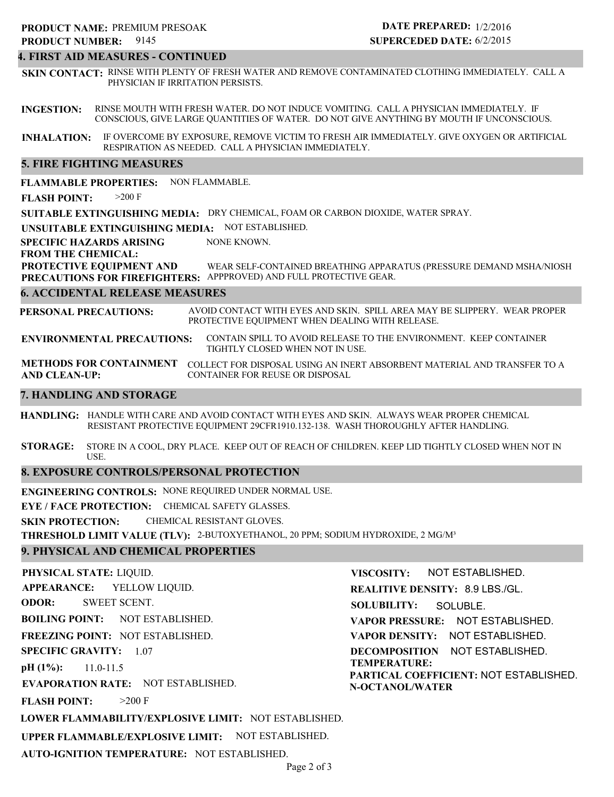## **4. FIRST AID MEASURES - CONTINUED**

**SKIN CONTACT:** RINSE WITH PLENTY OF FRESH WATER AND REMOVE CONTAMINATED CLOTHING IMMEDIATELY. CALL A PHYSICIAN IF IRRITATION PERSISTS.

**INGESTION:** RINSE MOUTH WITH FRESH WATER. DO NOT INDUCE VOMITING. CALL A PHYSICIAN IMMEDIATELY. IF CONSCIOUS, GIVE LARGE QUANTITIES OF WATER. DO NOT GIVE ANYTHING BY MOUTH IF UNCONSCIOUS.

**INHALATION:** IF OVERCOME BY EXPOSURE, REMOVE VICTIM TO FRESH AIR IMMEDIATELY. GIVE OXYGEN OR ARTIFICIAL RESPIRATION AS NEEDED. CALL A PHYSICIAN IMMEDIATELY.

## **5. FIRE FIGHTING MEASURES**

**FLAMMABLE PROPERTIES:** NON FLAMMABLE.

**FLASH POINT:** >200 F

**SUITABLE EXTINGUISHING MEDIA:** DRY CHEMICAL, FOAM OR CARBON DIOXIDE, WATER SPRAY.

**UNSUITABLE EXTINGUISHING MEDIA:** NOT ESTABLISHED.

**SPECIFIC HAZARDS ARISING** NONE KNOWN.

#### **FROM THE CHEMICAL:**

**PROTECTIVE EQUIPMENT AND PRECAUTIONS FOR FIREFIGHTERS:** APPPROVED) AND FULL PROTECTIVE GEAR. WEAR SELF-CONTAINED BREATHING APPARATUS (PRESSURE DEMAND MSHA/NIOSH

### **6. ACCIDENTAL RELEASE MEASURES**

**PERSONAL PRECAUTIONS:** AVOID CONTACT WITH EYES AND SKIN. SPILL AREA MAY BE SLIPPERY. WEAR PROPER PROTECTIVE EQUIPMENT WHEN DEALING WITH RELEASE.

**ENVIRONMENTAL PRECAUTIONS:** CONTAIN SPILL TO AVOID RELEASE TO THE ENVIRONMENT. KEEP CONTAINER TIGHTLY CLOSED WHEN NOT IN USE.

**METHODS FOR CONTAINMENT** COLLECT FOR DISPOSAL USING AN INERT ABSORBENT MATERIAL AND TRANSFER TO A **AND CLEAN-UP:** CONTAINER FOR REUSE OR DISPOSAL

## **7. HANDLING AND STORAGE**

**HANDLING:** HANDLE WITH CARE AND AVOID CONTACT WITH EYES AND SKIN. ALWAYS WEAR PROPER CHEMICAL RESISTANT PROTECTIVE EQUIPMENT 29CFR1910.132-138. WASH THOROUGHLY AFTER HANDLING.

**STORAGE:** STORE IN A COOL, DRY PLACE. KEEP OUT OF REACH OF CHILDREN. KEEP LID TIGHTLY CLOSED WHEN NOT IN USE.

## **8. EXPOSURE CONTROLS/PERSONAL PROTECTION**

**ENGINEERING CONTROLS:** NONE REQUIRED UNDER NORMAL USE.

**EYE / FACE PROTECTION:** CHEMICAL SAFETY GLASSES.

**SKIN PROTECTION:** CHEMICAL RESISTANT GLOVES.

**THRESHOLD LIMIT VALUE (TLV):** 2-BUTOXYETHANOL, 20 PPM; SODIUM HYDROXIDE, 2 MG/M³

## **9. PHYSICAL AND CHEMICAL PROPERTIES**

**PHYSICAL STATE:** LIQUID. **APPEARANCE: ODOR: BOILING POINT:** NOT ESTABLISHED. **FREEZING POINT:** NOT ESTABLISHED. **SPECIFIC GRAVITY:** 1.07 **pH (1%): EVAPORATION RATE:** NOT ESTABLISHED. **FLASH POINT: LOWER FLAMMABILITY/EXPLOSIVE LIMIT:** NOT ESTABLISHED. 11.0-11.5  $>200$  F YELLOW LIQUID. SWEET SCENT. **VISCOSITY: REALITIVE DENSITY:** 8.9 LBS./GL. **SOLUBILITY: VAPOR PRESSURE:** NOT ESTABLISHED. **VAPOR DENSITY:** NOT ESTABLISHED. **DECOMPOSITION** NOT ESTABLISHED. **TEMPERATURE: PARTICAL COEFFICIENT:** NOT ESTABLISHED. **N-OCTANOL/WATER** NOT ESTABLISHED. SOLUBLE.

**UPPER FLAMMABLE/EXPLOSIVE LIMIT:** NOT ESTABLISHED.

**AUTO-IGNITION TEMPERATURE:** NOT ESTABLISHED.